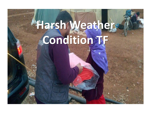# **Harsh Weather Condition TF**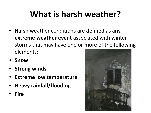# **What is harsh weather?**

- Harsh weather conditions are defined as any **extreme weather event** associated with winter storms that may have one or more of the following elements:
- **Snow**
- **Strong winds**
- **Extreme low temperature**
- **Heavy rainfall/flooding**
- **Fire**

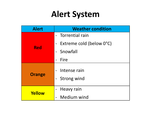# **Alert System**

| <b>Alert</b>  | <b>Weather condition</b>           |  |  |
|---------------|------------------------------------|--|--|
| <b>Red</b>    | - Torrential rain                  |  |  |
|               | Extreme cold (below 0°C)           |  |  |
|               | - Snowfall                         |  |  |
|               | Fire                               |  |  |
| <b>Orange</b> | Intense rain<br><b>Strong wind</b> |  |  |
| Yellow        | Heavy rain                         |  |  |
|               | <b>Medium wind</b>                 |  |  |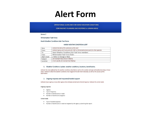### **Alert Form**

**OPERATIONAL GUIDELINES FOR HARSH WEATHER CONDITIONS** 

**CONTINGENCY PLANNING AND RESPONSE in URBAN AREAS** 

Annex<sub>2</sub>

**Winterization Task Force** 

Harsh Weather Conditions Sub-Task Force

### HARSH WEATHR CONDITION ALERT

| Date        | Indicate the date of the submission of the alert                                         |  |
|-------------|------------------------------------------------------------------------------------------|--|
| From        | Indicate Agency and Focal points for HWC or Winterization focal point for other agencies |  |
| To          | Harsh Weather Conditions Sub-Task Force members                                          |  |
| Copy        | Winterization Task Force Chairs                                                          |  |
| Alarm level | Yellor or Orange or Red)                                                                 |  |
| Subject     | (for example Heavy Snow in Mafrag                                                        |  |
| Location    | ' more specific, for example East Mafraq)                                                |  |

### 1. Weather Conditions Update: weather conditions, locations, beneficiaries.

Indicate the areas affected by the weather conditions described as well as the number and type of beneficiaries living in those areas. Indicate in detail the weather conditions that triggered the alert level indicated, as well as the sources of this information.

### 2. Ongoing response and requested/needed support

Indicate if your agency or any other agency have already started some kind of response. Indicate the unmet needs.

### Ongoing response

- Agency:
- Type of response:  $\bullet$
- Number of beneficiaries in need:  $\bullet$
- · Number of beneficiaries targeted:

### Unmet needs

- Type of needed response:
- Number of beneficiaries in need not targeted by the agency submitting the report:  $\bullet$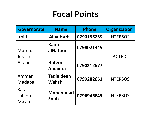## **Focal Points**

| <b>Governorate</b>                      | <b>Name</b>                       | <b>Phone</b> | <b>Organization</b> |
|-----------------------------------------|-----------------------------------|--------------|---------------------|
| <b>Irbid</b>                            | 'Alaa Harb                        | 0790156259   | <b>INTERSOS</b>     |
| Mafraq                                  | Rami<br>alNatour                  | 0798021445   |                     |
| Jerash                                  |                                   |              | <b>ACTED</b>        |
| Ajloun                                  | <b>Hatem</b><br><b>Amaiera</b>    | 0790212677   |                     |
| Amman<br>Madaba                         | <b>Taqialdeen</b><br><b>Wahsh</b> | 0799282651   | <b>INTERSOS</b>     |
| <b>Karak</b><br><b>Tafileh</b><br>Ma'an | <b>Mohammad</b><br>Soub           | 0796946845   | <b>INTERSOS</b>     |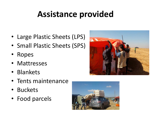# **Assistance provided**

- Large Plastic Sheets (LPS)
- Small Plastic Sheets (SPS)
- Ropes
- Mattresses
- Blankets
- Tents maintenance
- Buckets
- Food parcels



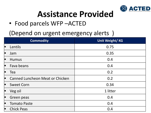

## **Assistance Provided**

• Food parcels WFP –ACTED

(Depend on urgent emergency alerts )

| <b>Commodity</b> |                                        | Unit Weight/KG |  |
|------------------|----------------------------------------|----------------|--|
| E                | Lentils                                | 0.75           |  |
|                  | Jam                                    | 0.35           |  |
|                  | <b>Humus</b>                           | 0.4            |  |
| ╻                | Fava beans                             | 0.4            |  |
| L                | Tea                                    | 0.2            |  |
| E                | <b>Canned Luncheon Meat or Chicken</b> | 0.2            |  |
|                  | <b>Sweet Corn</b>                      | 0.34           |  |
|                  | Veg oil                                | 1 litter       |  |
|                  | Green peas                             | 0.4            |  |
|                  | <b>Tomato Paste</b>                    | 0.4            |  |
| Œ                | <b>Chick Peas</b>                      | 0.4            |  |